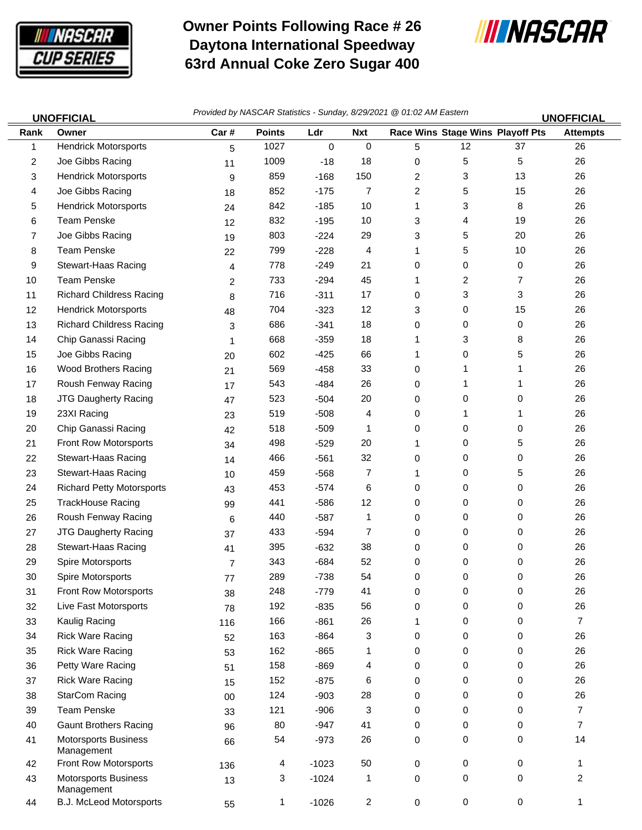

 $\equiv$ 

## **Owner Points Following Race # 26 Daytona International Speedway 63rd Annual Coke Zero Sugar 400**



|              | <b>UNOFFICIAL</b>                         | Provided by NASCAR Statistics - Sunday, 8/29/2021 @ 01:02 AM Eastern |               |         |            |                |          |                                  | <b>UNOFFICIAL</b> |
|--------------|-------------------------------------------|----------------------------------------------------------------------|---------------|---------|------------|----------------|----------|----------------------------------|-------------------|
| Rank         | Owner                                     | Car#                                                                 | <b>Points</b> | Ldr     | <b>Nxt</b> |                |          | Race Wins Stage Wins Playoff Pts | <b>Attempts</b>   |
| $\mathbf{1}$ | <b>Hendrick Motorsports</b>               | 5                                                                    | 1027          | 0       | $\pmb{0}$  | 5              | 12       | 37                               | 26                |
| 2            | Joe Gibbs Racing                          | 11                                                                   | 1009          | $-18$   | 18         | 0              | 5        | 5                                | 26                |
| 3            | <b>Hendrick Motorsports</b>               | 9                                                                    | 859           | $-168$  | 150        | $\overline{2}$ | 3        | 13                               | 26                |
| 4            | Joe Gibbs Racing                          | 18                                                                   | 852           | $-175$  | 7          | 2              | 5        | 15                               | 26                |
| 5            | <b>Hendrick Motorsports</b>               | 24                                                                   | 842           | $-185$  | 10         | 1              | 3        | 8                                | 26                |
| 6            | <b>Team Penske</b>                        | 12                                                                   | 832           | $-195$  | 10         | 3              | 4        | 19                               | 26                |
| 7            | Joe Gibbs Racing                          | 19                                                                   | 803           | $-224$  | 29         | 3              | 5        | 20                               | 26                |
| 8            | <b>Team Penske</b>                        | 22                                                                   | 799           | $-228$  | 4          | 1              | 5        | 10                               | 26                |
| 9            | Stewart-Haas Racing                       | 4                                                                    | 778           | $-249$  | 21         | 0              | 0        | $\mathbf 0$                      | 26                |
| 10           | <b>Team Penske</b>                        | 2                                                                    | 733           | $-294$  | 45         | 1              | 2        | 7                                | 26                |
| 11           | <b>Richard Childress Racing</b>           | 8                                                                    | 716           | $-311$  | 17         | 0              | 3        | 3                                | 26                |
| 12           | <b>Hendrick Motorsports</b>               | 48                                                                   | 704           | $-323$  | 12         | 3              | 0        | 15                               | 26                |
| 13           | <b>Richard Childress Racing</b>           | 3                                                                    | 686           | $-341$  | 18         | 0              | 0        | 0                                | 26                |
| 14           | Chip Ganassi Racing                       | 1                                                                    | 668           | $-359$  | 18         | 1              | 3        | 8                                | 26                |
| 15           | Joe Gibbs Racing                          | 20                                                                   | 602           | $-425$  | 66         | 1              | 0        | 5                                | 26                |
| 16           | Wood Brothers Racing                      | 21                                                                   | 569           | $-458$  | 33         | 0              | 1        | 1                                | 26                |
| 17           | Roush Fenway Racing                       | 17                                                                   | 543           | $-484$  | 26         | 0              | 1        | 1                                | 26                |
| 18           | JTG Daugherty Racing                      | 47                                                                   | 523           | $-504$  | 20         | 0              | 0        | 0                                | 26                |
| 19           | 23XI Racing                               | 23                                                                   | 519           | $-508$  | 4          | 0              | 1        | 1                                | 26                |
| 20           | Chip Ganassi Racing                       | 42                                                                   | 518           | $-509$  | 1          | 0              | 0        | 0                                | 26                |
| 21           | Front Row Motorsports                     | 34                                                                   | 498           | $-529$  | 20         | 1              | 0        | 5                                | 26                |
| 22           | Stewart-Haas Racing                       | 14                                                                   | 466           | $-561$  | 32         | 0              | 0        | 0                                | 26                |
| 23           | Stewart-Haas Racing                       | 10                                                                   | 459           | $-568$  | 7          | 1              | 0        | 5                                | 26                |
| 24           | <b>Richard Petty Motorsports</b>          | 43                                                                   | 453           | $-574$  | 6          | 0              | 0        | 0                                | 26                |
| 25           | <b>TrackHouse Racing</b>                  | 99                                                                   | 441           | $-586$  | 12         | 0              | 0        | 0                                | 26                |
| 26           | Roush Fenway Racing                       | 6                                                                    | 440           | $-587$  | 1          | 0              | 0        | 0                                | 26                |
| 27           | JTG Daugherty Racing                      | 37                                                                   | 433           | $-594$  | 7          | 0              | 0        | 0                                | 26                |
| 28           | Stewart-Haas Racing                       | 41                                                                   | 395           | $-632$  | 38         | 0              | 0        | 0                                | 26                |
| 29           | Spire Motorsports                         | 7                                                                    | 343           | $-684$  | 52         | 0              | 0        | 0                                | 26                |
| 30           | Spire Motorsports                         | 77                                                                   | 289           | $-738$  | 54         | 0              | $\Omega$ | 0                                | 26                |
| 31           | Front Row Motorsports                     | 38                                                                   | 248           | $-779$  | 41         | 0              | 0        | 0                                | 26                |
| 32           | Live Fast Motorsports                     | 78                                                                   | 192           | $-835$  | 56         | 0              | 0        | 0                                | 26                |
| 33           | Kaulig Racing                             | 116                                                                  | 166           | $-861$  | 26         | 1              | 0        | 0                                | $\overline{7}$    |
| 34           | <b>Rick Ware Racing</b>                   | 52                                                                   | 163           | $-864$  | 3          | 0              | 0        | 0                                | 26                |
| 35           | <b>Rick Ware Racing</b>                   | 53                                                                   | 162           | $-865$  | 1          | 0              | 0        | 0                                | 26                |
| 36           | Petty Ware Racing                         | 51                                                                   | 158           | $-869$  | 4          | 0              | 0        | 0                                | 26                |
| 37           | <b>Rick Ware Racing</b>                   | 15                                                                   | 152           | $-875$  | 6          | 0              | 0        | 0                                | 26                |
| 38           | StarCom Racing                            | $00\,$                                                               | 124           | $-903$  | 28         | 0              | 0        | 0                                | 26                |
| 39           | <b>Team Penske</b>                        | 33                                                                   | 121           | $-906$  | 3          | 0              | 0        | 0                                | $\overline{7}$    |
| 40           | <b>Gaunt Brothers Racing</b>              | 96                                                                   | 80            | $-947$  | 41         | 0              | 0        | 0                                | 7                 |
| 41           | <b>Motorsports Business</b><br>Management | 66                                                                   | 54            | $-973$  | 26         | 0              | 0        | 0                                | 14                |
| 42           | Front Row Motorsports                     | 136                                                                  | 4             | $-1023$ | 50         | 0              | 0        | 0                                | 1                 |
| 43           | <b>Motorsports Business</b><br>Management | 13                                                                   | 3             | $-1024$ | 1          | 0              | 0        | 0                                | 2                 |
| 44           | B.J. McLeod Motorsports                   | 55                                                                   | 1             | $-1026$ | 2          | 0              | 0        | $\mathbf 0$                      | 1                 |